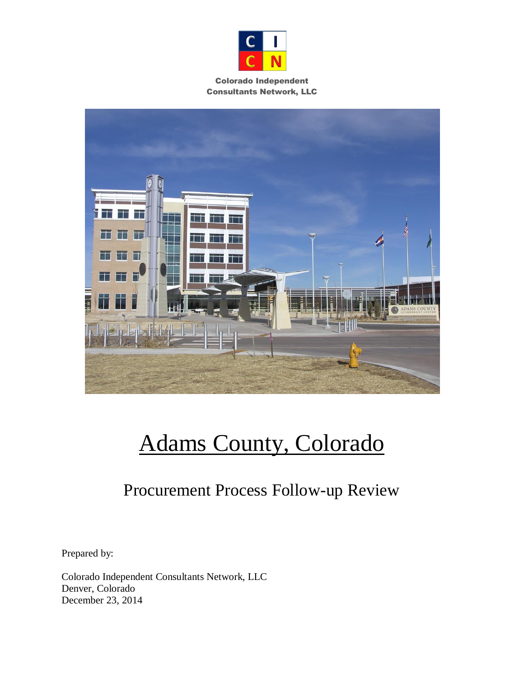

#### Colorado Independent Consultants Network, LLC



# Adams County, Colorado

## Procurement Process Follow-up Review

Prepared by:

Colorado Independent Consultants Network, LLC Denver, Colorado December 23, 2014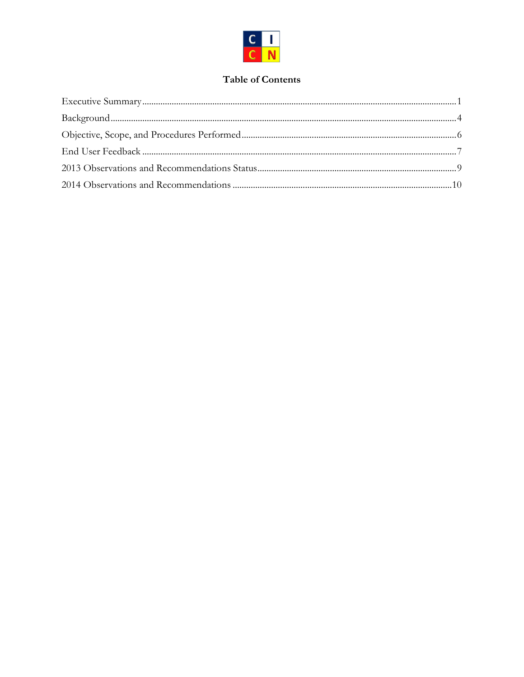

## **Table of Contents**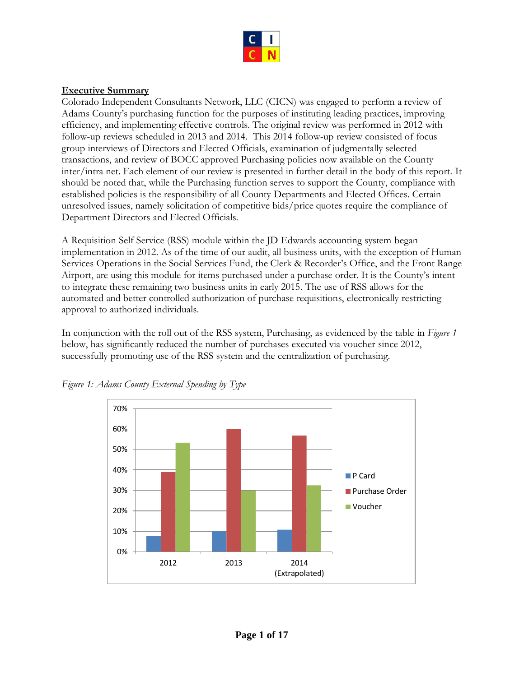

## <span id="page-2-0"></span>**Executive Summary**

Colorado Independent Consultants Network, LLC (CICN) was engaged to perform a review of Adams County's purchasing function for the purposes of instituting leading practices, improving efficiency, and implementing effective controls. The original review was performed in 2012 with follow-up reviews scheduled in 2013 and 2014. This 2014 follow-up review consisted of focus group interviews of Directors and Elected Officials, examination of judgmentally selected transactions, and review of BOCC approved Purchasing policies now available on the County inter/intra net. Each element of our review is presented in further detail in the body of this report. It should be noted that, while the Purchasing function serves to support the County, compliance with established policies is the responsibility of all County Departments and Elected Offices. Certain unresolved issues, namely solicitation of competitive bids/price quotes require the compliance of Department Directors and Elected Officials.

A Requisition Self Service (RSS) module within the JD Edwards accounting system began implementation in 2012. As of the time of our audit, all business units, with the exception of Human Services Operations in the Social Services Fund, the Clerk & Recorder's Office, and the Front Range Airport, are using this module for items purchased under a purchase order. It is the County's intent to integrate these remaining two business units in early 2015. The use of RSS allows for the automated and better controlled authorization of purchase requisitions, electronically restricting approval to authorized individuals.

In conjunction with the roll out of the RSS system, Purchasing, as evidenced by the table in *Figure 1* below, has significantly reduced the number of purchases executed via voucher since 2012, successfully promoting use of the RSS system and the centralization of purchasing.



*Figure 1: Adams County External Spending by Type*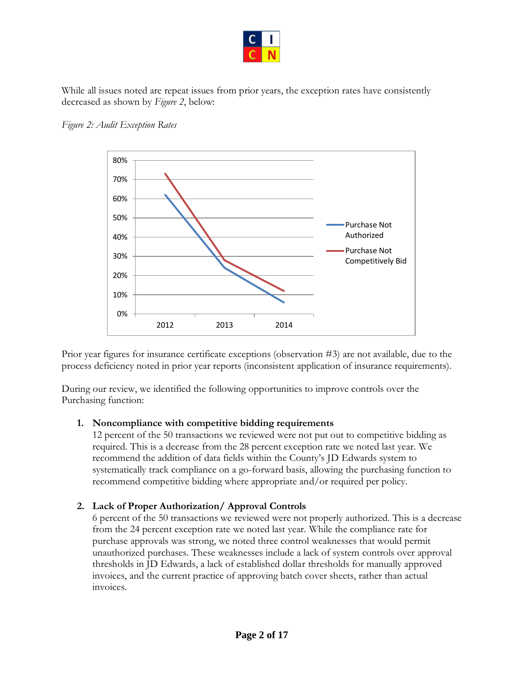

While all issues noted are repeat issues from prior years, the exception rates have consistently decreased as shown by *Figure 2*, below:





Prior year figures for insurance certificate exceptions (observation #3) are not available, due to the process deficiency noted in prior year reports (inconsistent application of insurance requirements).

During our review, we identified the following opportunities to improve controls over the Purchasing function:

## **1. Noncompliance with competitive bidding requirements**

12 percent of the 50 transactions we reviewed were not put out to competitive bidding as required. This is a decrease from the 28 percent exception rate we noted last year. We recommend the addition of data fields within the County's JD Edwards system to systematically track compliance on a go-forward basis, allowing the purchasing function to recommend competitive bidding where appropriate and/or required per policy.

## **2. Lack of Proper Authorization/ Approval Controls**

6 percent of the 50 transactions we reviewed were not properly authorized. This is a decrease from the 24 percent exception rate we noted last year. While the compliance rate for purchase approvals was strong, we noted three control weaknesses that would permit unauthorized purchases. These weaknesses include a lack of system controls over approval thresholds in JD Edwards, a lack of established dollar thresholds for manually approved invoices, and the current practice of approving batch cover sheets, rather than actual invoices.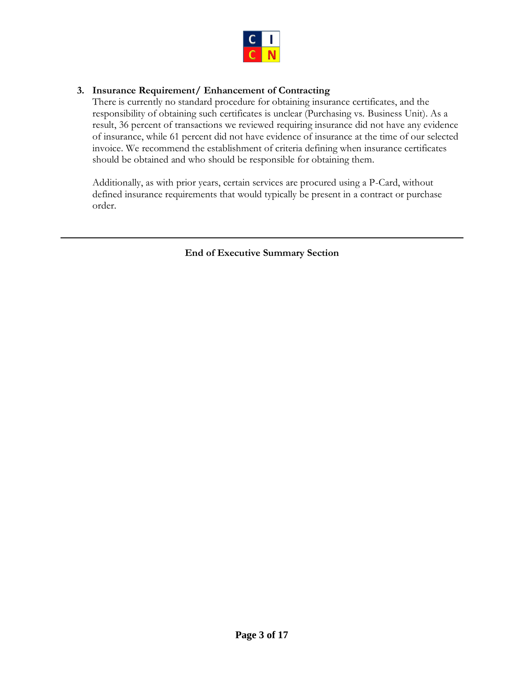

## **3. Insurance Requirement/ Enhancement of Contracting**

There is currently no standard procedure for obtaining insurance certificates, and the responsibility of obtaining such certificates is unclear (Purchasing vs. Business Unit). As a result, 36 percent of transactions we reviewed requiring insurance did not have any evidence of insurance, while 61 percent did not have evidence of insurance at the time of our selected invoice. We recommend the establishment of criteria defining when insurance certificates should be obtained and who should be responsible for obtaining them.

Additionally, as with prior years, certain services are procured using a P-Card, without defined insurance requirements that would typically be present in a contract or purchase order.

**End of Executive Summary Section**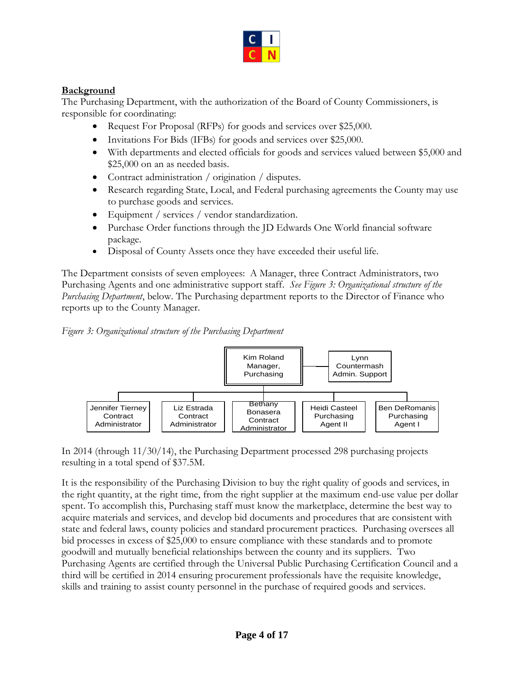

## <span id="page-5-0"></span>**Background**

The Purchasing Department, with the authorization of the Board of County Commissioners, is responsible for coordinating:

- Request For Proposal (RFPs) for goods and services over \$25,000.
- Invitations For Bids (IFBs) for goods and services over \$25,000.
- With departments and elected officials for goods and services valued between \$5,000 and \$25,000 on an as needed basis.
- Contract administration / origination / disputes.
- Research regarding State, Local, and Federal purchasing agreements the County may use to purchase goods and services.
- Equipment / services / vendor standardization.
- Purchase Order functions through the JD Edwards One World financial software package.
- Disposal of County Assets once they have exceeded their useful life.

The Department consists of seven employees: A Manager, three Contract Administrators, two Purchasing Agents and one administrative support staff. *See Figure 3: Organizational structure of the Purchasing Department*, below. The Purchasing department reports to the Director of Finance who reports up to the County Manager.





In 2014 (through 11/30/14), the Purchasing Department processed 298 purchasing projects resulting in a total spend of \$37.5M.

It is the responsibility of the Purchasing Division to buy the right quality of goods and services, in the right quantity, at the right time, from the right supplier at the maximum end-use value per dollar spent. To accomplish this, Purchasing staff must know the marketplace, determine the best way to acquire materials and services, and develop bid documents and procedures that are consistent with state and federal laws, county policies and standard procurement practices. Purchasing oversees all bid processes in excess of \$25,000 to ensure compliance with these standards and to promote goodwill and mutually beneficial relationships between the county and its suppliers. Two Purchasing Agents are certified through the Universal Public Purchasing Certification Council and a third will be certified in 2014 ensuring procurement professionals have the requisite knowledge, skills and training to assist county personnel in the purchase of required goods and services.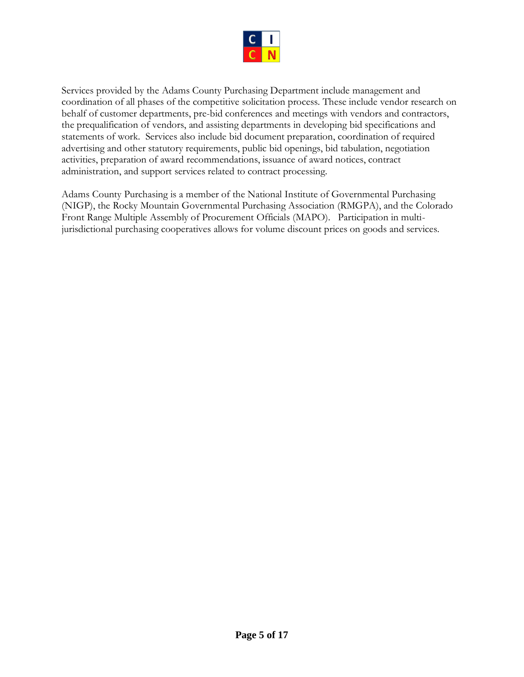

Services provided by the Adams County Purchasing Department include management and coordination of all phases of the competitive solicitation process. These include vendor research on behalf of customer departments, pre-bid conferences and meetings with vendors and contractors, the prequalification of vendors, and assisting departments in developing bid specifications and statements of work. Services also include bid document preparation, coordination of required advertising and other statutory requirements, public bid openings, bid tabulation, negotiation activities, preparation of award recommendations, issuance of award notices, contract administration, and support services related to contract processing.

Adams County Purchasing is a member of the National Institute of Governmental Purchasing (NIGP), the Rocky Mountain Governmental Purchasing Association (RMGPA), and the Colorado Front Range Multiple Assembly of Procurement Officials (MAPO). Participation in multijurisdictional purchasing cooperatives allows for volume discount prices on goods and services.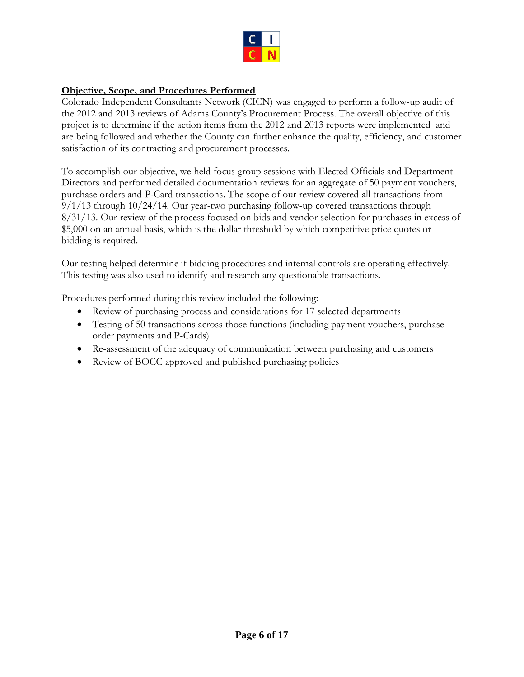

## <span id="page-7-0"></span>**Objective, Scope, and Procedures Performed**

Colorado Independent Consultants Network (CICN) was engaged to perform a follow-up audit of the 2012 and 2013 reviews of Adams County's Procurement Process. The overall objective of this project is to determine if the action items from the 2012 and 2013 reports were implemented and are being followed and whether the County can further enhance the quality, efficiency, and customer satisfaction of its contracting and procurement processes.

To accomplish our objective, we held focus group sessions with Elected Officials and Department Directors and performed detailed documentation reviews for an aggregate of 50 payment vouchers, purchase orders and P-Card transactions. The scope of our review covered all transactions from  $9/1/13$  through  $10/24/14$ . Our year-two purchasing follow-up covered transactions through 8/31/13. Our review of the process focused on bids and vendor selection for purchases in excess of \$5,000 on an annual basis, which is the dollar threshold by which competitive price quotes or bidding is required.

Our testing helped determine if bidding procedures and internal controls are operating effectively. This testing was also used to identify and research any questionable transactions.

Procedures performed during this review included the following:

- Review of purchasing process and considerations for 17 selected departments
- Testing of 50 transactions across those functions (including payment vouchers, purchase order payments and P-Cards)
- Re-assessment of the adequacy of communication between purchasing and customers
- Review of BOCC approved and published purchasing policies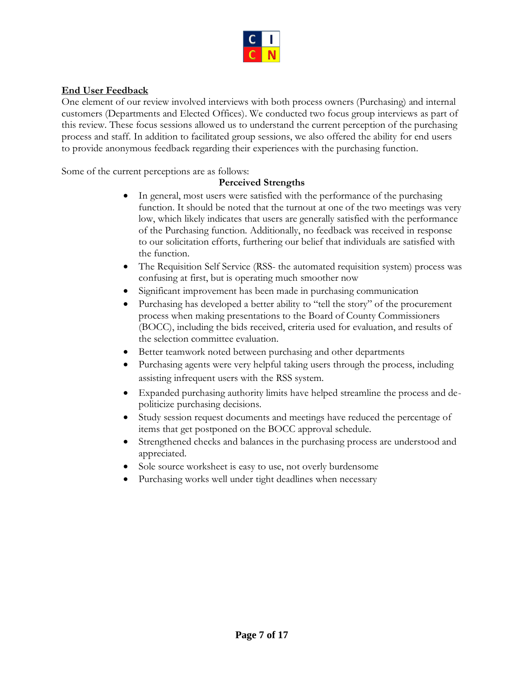

## <span id="page-8-0"></span>**End User Feedback**

One element of our review involved interviews with both process owners (Purchasing) and internal customers (Departments and Elected Offices). We conducted two focus group interviews as part of this review. These focus sessions allowed us to understand the current perception of the purchasing process and staff. In addition to facilitated group sessions, we also offered the ability for end users to provide anonymous feedback regarding their experiences with the purchasing function.

Some of the current perceptions are as follows:

## **Perceived Strengths**

- In general, most users were satisfied with the performance of the purchasing function. It should be noted that the turnout at one of the two meetings was very low, which likely indicates that users are generally satisfied with the performance of the Purchasing function. Additionally, no feedback was received in response to our solicitation efforts, furthering our belief that individuals are satisfied with the function.
- The Requisition Self Service (RSS- the automated requisition system) process was confusing at first, but is operating much smoother now
- Significant improvement has been made in purchasing communication
- Purchasing has developed a better ability to "tell the story" of the procurement process when making presentations to the Board of County Commissioners (BOCC), including the bids received, criteria used for evaluation, and results of the selection committee evaluation.
- Better teamwork noted between purchasing and other departments
- Purchasing agents were very helpful taking users through the process, including assisting infrequent users with the RSS system.
- Expanded purchasing authority limits have helped streamline the process and depoliticize purchasing decisions.
- Study session request documents and meetings have reduced the percentage of items that get postponed on the BOCC approval schedule.
- Strengthened checks and balances in the purchasing process are understood and appreciated.
- Sole source worksheet is easy to use, not overly burdensome
- Purchasing works well under tight deadlines when necessary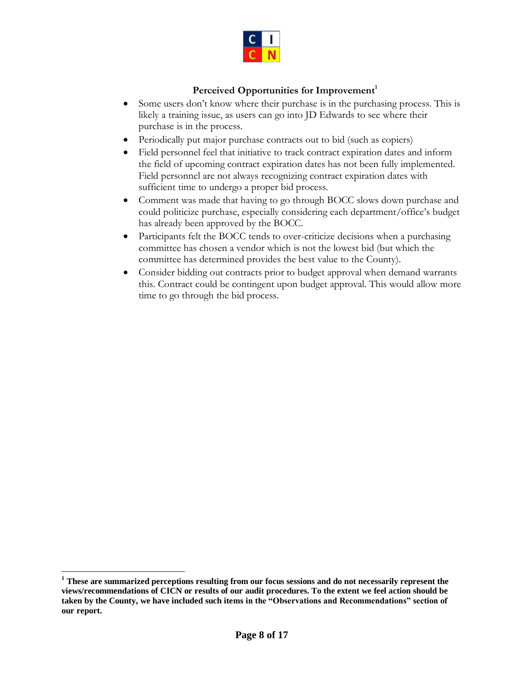

## Perceived Opportunities for Improvement<sup>1</sup>

- Some users don't know where their purchase is in the purchasing process. This is likely a training issue, as users can go into JD Edwards to see where their purchase is in the process.
- Periodically put major purchase contracts out to bid (such as copiers)
- Field personnel feel that initiative to track contract expiration dates and inform the field of upcoming contract expiration dates has not been fully implemented. Field personnel are not always recognizing contract expiration dates with sufficient time to undergo a proper bid process.
- Comment was made that having to go through BOCC slows down purchase and could politicize purchase, especially considering each department/office's budget has already been approved by the BOCC.
- Participants felt the BOCC tends to over-criticize decisions when a purchasing committee has chosen a vendor which is not the lowest bid (but which the committee has determined provides the best value to the County).
- Consider bidding out contracts prior to budget approval when demand warrants this. Contract could be contingent upon budget approval. This would allow more time to go through the bid process.

**<sup>1</sup> These are summarized perceptions resulting from our focus sessions and do not necessarily represent the views/recommendations of CICN or results of our audit procedures. To the extent we feel action should be taken by the County, we have included such items in the "Observations and Recommendations" section of our report.**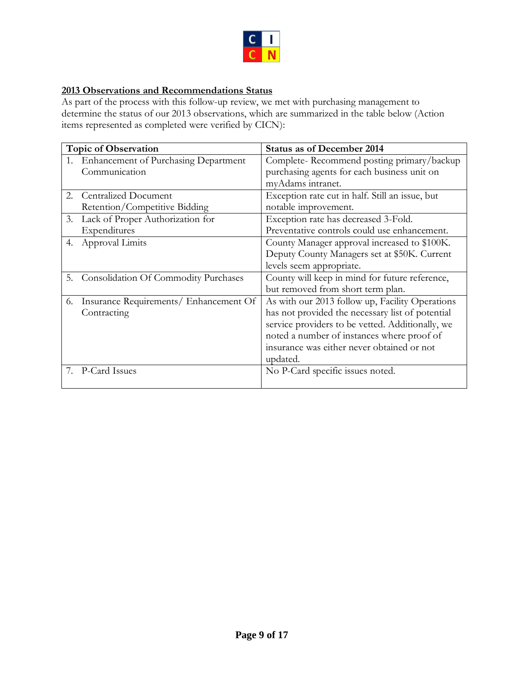

## <span id="page-10-0"></span>**2013 Observations and Recommendations Status**

As part of the process with this follow-up review, we met with purchasing management to determine the status of our 2013 observations, which are summarized in the table below (Action items represented as completed were verified by CICN):

| <b>Topic of Observation</b> |                                             | <b>Status as of December 2014</b>                |
|-----------------------------|---------------------------------------------|--------------------------------------------------|
|                             | <b>Enhancement of Purchasing Department</b> | Complete-Recommend posting primary/backup        |
|                             | Communication                               | purchasing agents for each business unit on      |
|                             |                                             | myAdams intranet.                                |
| 2.                          | <b>Centralized Document</b>                 | Exception rate cut in half. Still an issue, but  |
|                             | Retention/Competitive Bidding               | notable improvement.                             |
| 3.                          | Lack of Proper Authorization for            | Exception rate has decreased 3-Fold.             |
|                             | Expenditures                                | Preventative controls could use enhancement.     |
| 4.                          | Approval Limits                             | County Manager approval increased to \$100K.     |
|                             |                                             | Deputy County Managers set at \$50K. Current     |
|                             |                                             | levels seem appropriate.                         |
| 5.                          | <b>Consolidation Of Commodity Purchases</b> | County will keep in mind for future reference,   |
|                             |                                             | but removed from short term plan.                |
| 6.                          | Insurance Requirements/ Enhancement Of      | As with our 2013 follow up, Facility Operations  |
|                             | Contracting                                 | has not provided the necessary list of potential |
|                             |                                             | service providers to be vetted. Additionally, we |
|                             |                                             | noted a number of instances where proof of       |
|                             |                                             | insurance was either never obtained or not       |
|                             |                                             | updated.                                         |
|                             | P-Card Issues                               | No P-Card specific issues noted.                 |
|                             |                                             |                                                  |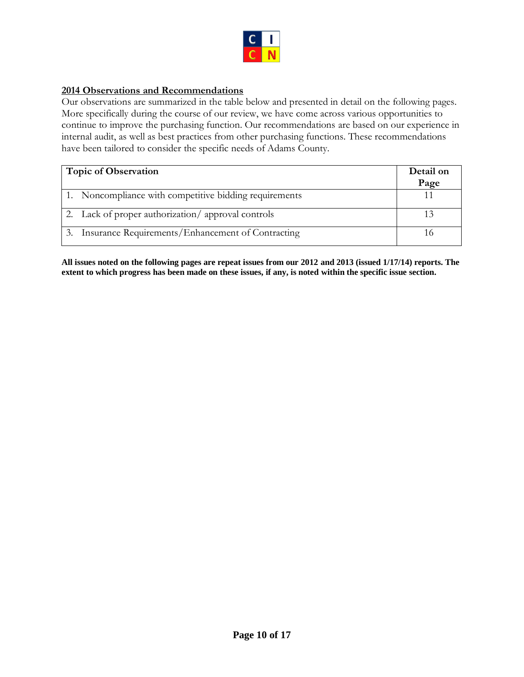

## <span id="page-11-0"></span>**2014 Observations and Recommendations**

Our observations are summarized in the table below and presented in detail on the following pages. More specifically during the course of our review, we have come across various opportunities to continue to improve the purchasing function. Our recommendations are based on our experience in internal audit, as well as best practices from other purchasing functions. These recommendations have been tailored to consider the specific needs of Adams County.

| <b>Topic of Observation</b>                            | Detail on<br>Page |
|--------------------------------------------------------|-------------------|
| 1. Noncompliance with competitive bidding requirements |                   |
| 2. Lack of proper authorization/approval controls      |                   |
| 3. Insurance Requirements/Enhancement of Contracting   |                   |

**All issues noted on the following pages are repeat issues from our 2012 and 2013 (issued 1/17/14) reports. The extent to which progress has been made on these issues, if any, is noted within the specific issue section.**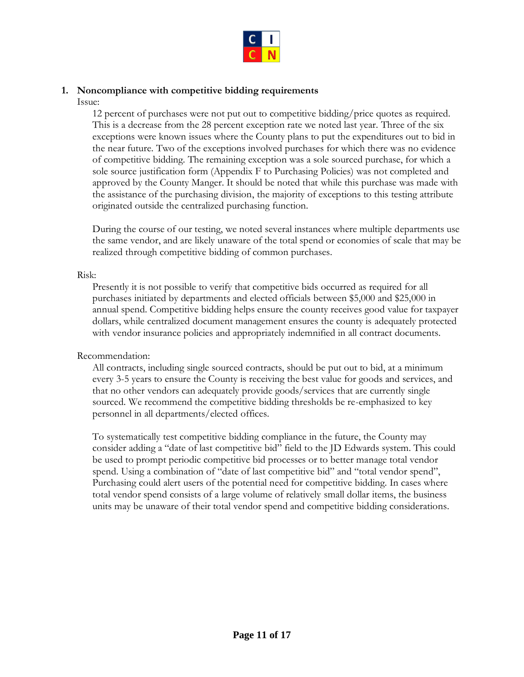

## <span id="page-12-0"></span>**1. Noncompliance with competitive bidding requirements**

Issue:

12 percent of purchases were not put out to competitive bidding/price quotes as required. This is a decrease from the 28 percent exception rate we noted last year. Three of the six exceptions were known issues where the County plans to put the expenditures out to bid in the near future. Two of the exceptions involved purchases for which there was no evidence of competitive bidding. The remaining exception was a sole sourced purchase, for which a sole source justification form (Appendix F to Purchasing Policies) was not completed and approved by the County Manger. It should be noted that while this purchase was made with the assistance of the purchasing division, the majority of exceptions to this testing attribute originated outside the centralized purchasing function.

During the course of our testing, we noted several instances where multiple departments use the same vendor, and are likely unaware of the total spend or economies of scale that may be realized through competitive bidding of common purchases.

## Risk:

Presently it is not possible to verify that competitive bids occurred as required for all purchases initiated by departments and elected officials between \$5,000 and \$25,000 in annual spend. Competitive bidding helps ensure the county receives good value for taxpayer dollars, while centralized document management ensures the county is adequately protected with vendor insurance policies and appropriately indemnified in all contract documents.

## Recommendation:

All contracts, including single sourced contracts, should be put out to bid, at a minimum every 3-5 years to ensure the County is receiving the best value for goods and services, and that no other vendors can adequately provide goods/services that are currently single sourced. We recommend the competitive bidding thresholds be re-emphasized to key personnel in all departments/elected offices.

To systematically test competitive bidding compliance in the future, the County may consider adding a "date of last competitive bid" field to the JD Edwards system. This could be used to prompt periodic competitive bid processes or to better manage total vendor spend. Using a combination of "date of last competitive bid" and "total vendor spend", Purchasing could alert users of the potential need for competitive bidding. In cases where total vendor spend consists of a large volume of relatively small dollar items, the business units may be unaware of their total vendor spend and competitive bidding considerations.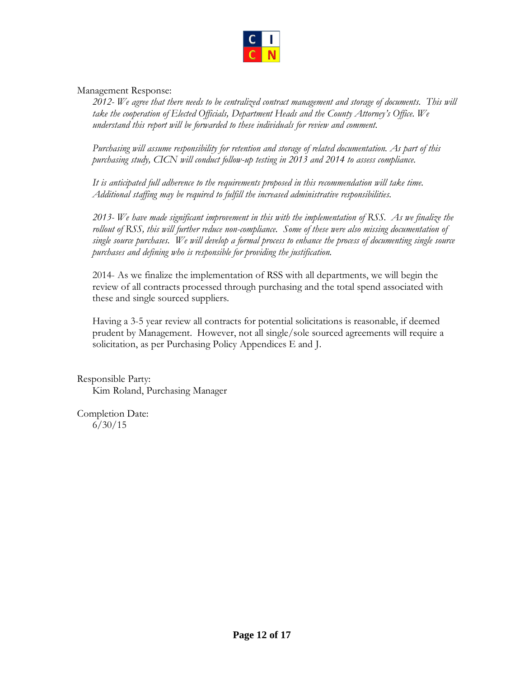

## Management Response:

*2012- We agree that there needs to be centralized contract management and storage of documents. This will take the cooperation of Elected Officials, Department Heads and the County Attorney's Office. We understand this report will be forwarded to these individuals for review and comment.* 

*Purchasing will assume responsibility for retention and storage of related documentation. As part of this purchasing study, CICN will conduct follow-up testing in 2013 and 2014 to assess compliance.* 

*It is anticipated full adherence to the requirements proposed in this recommendation will take time. Additional staffing may be required to fulfill the increased administrative responsibilities.*

*2013- We have made significant improvement in this with the implementation of RSS. As we finalize the*  rollout of RSS, this will further reduce non-compliance. Some of these were also missing documentation of *single source purchases. We will develop a formal process to enhance the process of documenting single source purchases and defining who is responsible for providing the justification.*

2014- As we finalize the implementation of RSS with all departments, we will begin the review of all contracts processed through purchasing and the total spend associated with these and single sourced suppliers.

Having a 3-5 year review all contracts for potential solicitations is reasonable, if deemed prudent by Management. However, not all single/sole sourced agreements will require a solicitation, as per Purchasing Policy Appendices E and J.

Responsible Party: Kim Roland, Purchasing Manager

Completion Date: 6/30/15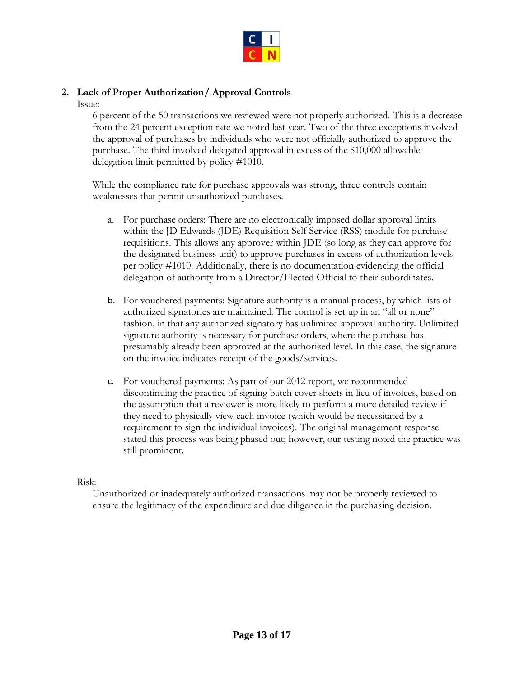

## <span id="page-14-0"></span>**2. Lack of Proper Authorization/ Approval Controls**

Issue:

6 percent of the 50 transactions we reviewed were not properly authorized. This is a decrease from the 24 percent exception rate we noted last year. Two of the three exceptions involved the approval of purchases by individuals who were not officially authorized to approve the purchase. The third involved delegated approval in excess of the \$10,000 allowable delegation limit permitted by policy #1010.

While the compliance rate for purchase approvals was strong, three controls contain weaknesses that permit unauthorized purchases.

- a. For purchase orders: There are no electronically imposed dollar approval limits within the JD Edwards (JDE) Requisition Self Service (RSS) module for purchase requisitions. This allows any approver within JDE (so long as they can approve for the designated business unit) to approve purchases in excess of authorization levels per policy #1010. Additionally, there is no documentation evidencing the official delegation of authority from a Director/Elected Official to their subordinates.
- b. For vouchered payments: Signature authority is a manual process, by which lists of authorized signatories are maintained. The control is set up in an "all or none" fashion, in that any authorized signatory has unlimited approval authority. Unlimited signature authority is necessary for purchase orders, where the purchase has presumably already been approved at the authorized level. In this case, the signature on the invoice indicates receipt of the goods/services.
- c. For vouchered payments: As part of our 2012 report, we recommended discontinuing the practice of signing batch cover sheets in lieu of invoices, based on the assumption that a reviewer is more likely to perform a more detailed review if they need to physically view each invoice (which would be necessitated by a requirement to sign the individual invoices). The original management response stated this process was being phased out; however, our testing noted the practice was still prominent.

## Risk:

Unauthorized or inadequately authorized transactions may not be properly reviewed to ensure the legitimacy of the expenditure and due diligence in the purchasing decision.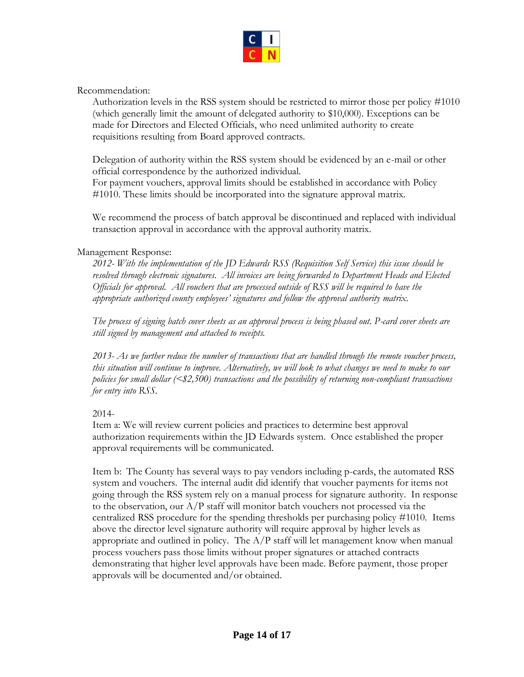

Recommendation:

Authorization levels in the RSS system should be restricted to mirror those per policy #1010 (which generally limit the amount of delegated authority to \$10,000). Exceptions can be made for Directors and Elected Officials, who need unlimited authority to create requisitions resulting from Board approved contracts.

Delegation of authority within the RSS system should be evidenced by an e-mail or other official correspondence by the authorized individual.

For payment vouchers, approval limits should be established in accordance with Policy #1010. These limits should be incorporated into the signature approval matrix.

We recommend the process of batch approval be discontinued and replaced with individual transaction approval in accordance with the approval authority matrix.

## Management Response:

*2012- With the implementation of the JD Edwards RSS (Requisition Self Service) this issue should be resolved through electronic signatures. All invoices are being forwarded to Department Heads and Elected Officials for approval. All vouchers that are processed outside of RSS will be required to have the appropriate authorized county employees' signatures and follow the approval authority matrix.*

*The process of signing batch cover sheets as an approval process is being phased out. P-card cover sheets are still signed by management and attached to receipts.*

*2013- As we further reduce the number of transactions that are handled through the remote voucher process, this situation will continue to improve. Alternatively, we will look to what changes we need to make to our policies for small dollar (<\$2,500) transactions and the possibility of returning non-compliant transactions for entry into RSS.* 

## 2014-

Item a: We will review current policies and practices to determine best approval authorization requirements within the JD Edwards system. Once established the proper approval requirements will be communicated.

Item b: The County has several ways to pay vendors including p-cards, the automated RSS system and vouchers. The internal audit did identify that voucher payments for items not going through the RSS system rely on a manual process for signature authority. In response to the observation, our  $A/P$  staff will monitor batch vouchers not processed via the centralized RSS procedure for the spending thresholds per purchasing policy #1010. Items above the director level signature authority will require approval by higher levels as appropriate and outlined in policy. The  $A/P$  staff will let management know when manual process vouchers pass those limits without proper signatures or attached contracts demonstrating that higher level approvals have been made. Before payment, those proper approvals will be documented and/or obtained.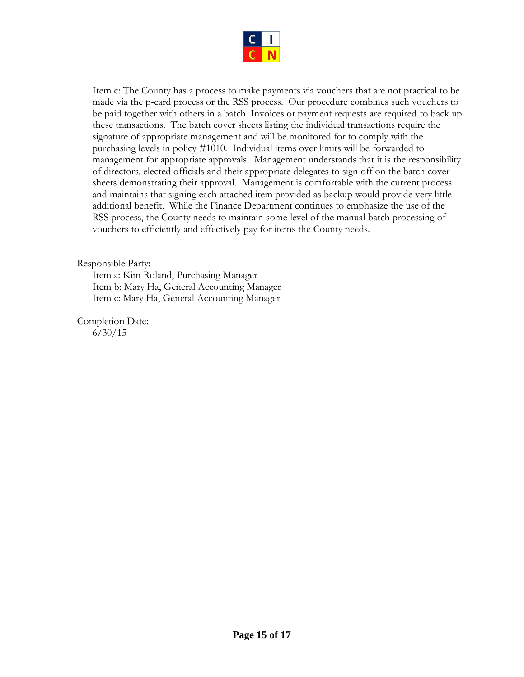

Item c: The County has a process to make payments via vouchers that are not practical to be made via the p-card process or the RSS process. Our procedure combines such vouchers to be paid together with others in a batch. Invoices or payment requests are required to back up these transactions. The batch cover sheets listing the individual transactions require the signature of appropriate management and will be monitored for to comply with the purchasing levels in policy #1010. Individual items over limits will be forwarded to management for appropriate approvals. Management understands that it is the responsibility of directors, elected officials and their appropriate delegates to sign off on the batch cover sheets demonstrating their approval. Management is comfortable with the current process and maintains that signing each attached item provided as backup would provide very little additional benefit. While the Finance Department continues to emphasize the use of the RSS process, the County needs to maintain some level of the manual batch processing of vouchers to efficiently and effectively pay for items the County needs.

## Responsible Party:

Item a: Kim Roland, Purchasing Manager Item b: Mary Ha, General Accounting Manager Item c: Mary Ha, General Accounting Manager

Completion Date: 6/30/15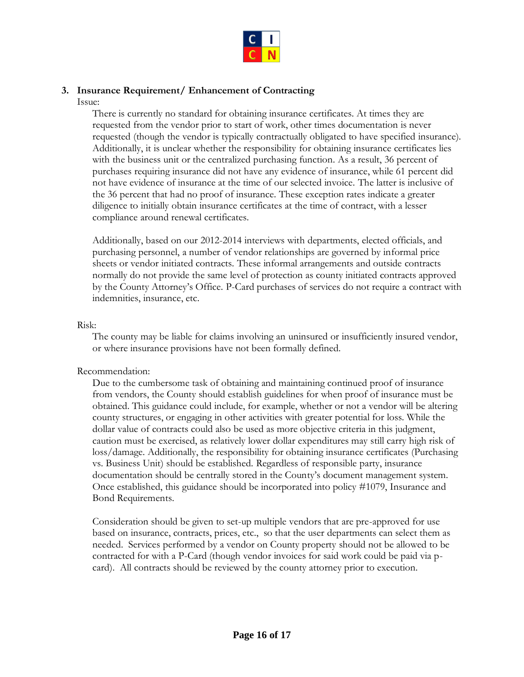

## <span id="page-17-0"></span>**3. Insurance Requirement/ Enhancement of Contracting**

Issue:

There is currently no standard for obtaining insurance certificates. At times they are requested from the vendor prior to start of work, other times documentation is never requested (though the vendor is typically contractually obligated to have specified insurance). Additionally, it is unclear whether the responsibility for obtaining insurance certificates lies with the business unit or the centralized purchasing function. As a result, 36 percent of purchases requiring insurance did not have any evidence of insurance, while 61 percent did not have evidence of insurance at the time of our selected invoice. The latter is inclusive of the 36 percent that had no proof of insurance. These exception rates indicate a greater diligence to initially obtain insurance certificates at the time of contract, with a lesser compliance around renewal certificates.

Additionally, based on our 2012-2014 interviews with departments, elected officials, and purchasing personnel, a number of vendor relationships are governed by informal price sheets or vendor initiated contracts. These informal arrangements and outside contracts normally do not provide the same level of protection as county initiated contracts approved by the County Attorney's Office. P-Card purchases of services do not require a contract with indemnities, insurance, etc.

## Risk:

The county may be liable for claims involving an uninsured or insufficiently insured vendor, or where insurance provisions have not been formally defined.

## Recommendation:

Due to the cumbersome task of obtaining and maintaining continued proof of insurance from vendors, the County should establish guidelines for when proof of insurance must be obtained. This guidance could include, for example, whether or not a vendor will be altering county structures, or engaging in other activities with greater potential for loss. While the dollar value of contracts could also be used as more objective criteria in this judgment, caution must be exercised, as relatively lower dollar expenditures may still carry high risk of loss/damage. Additionally, the responsibility for obtaining insurance certificates (Purchasing vs. Business Unit) should be established. Regardless of responsible party, insurance documentation should be centrally stored in the County's document management system. Once established, this guidance should be incorporated into policy #1079, Insurance and Bond Requirements.

Consideration should be given to set-up multiple vendors that are pre-approved for use based on insurance, contracts, prices, etc., so that the user departments can select them as needed. Services performed by a vendor on County property should not be allowed to be contracted for with a P-Card (though vendor invoices for said work could be paid via pcard). All contracts should be reviewed by the county attorney prior to execution.